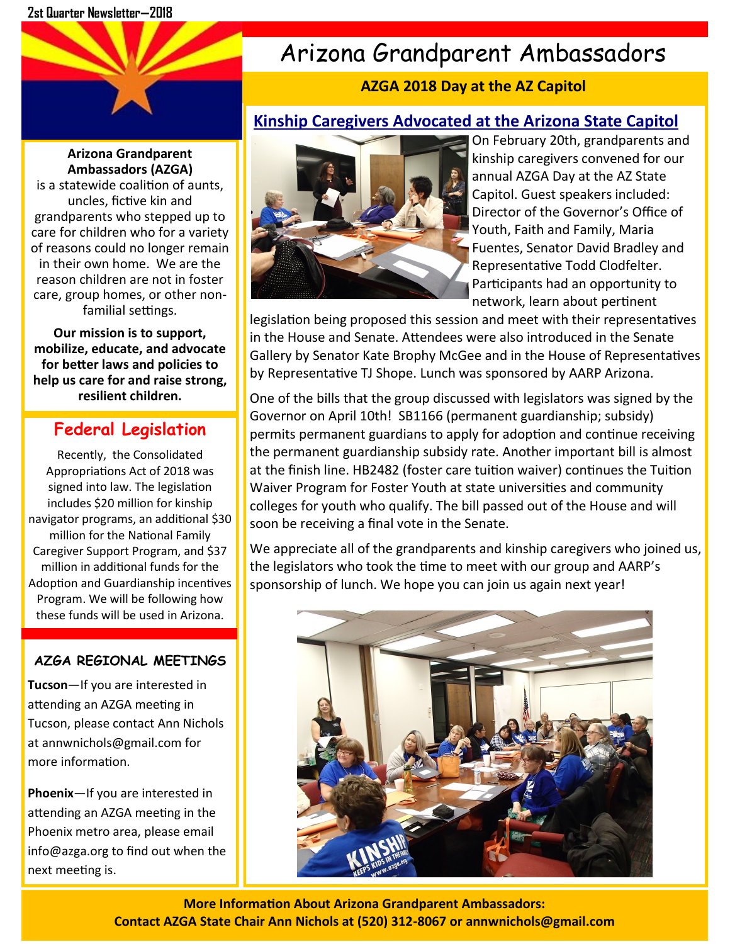# Arizona Grandparent Ambassadors

## **AZGA 2018 Day at the AZ Capitol**

## **Kinship Caregivers Advocated at the Arizona State Capitol**

#### **Arizona Grandparent Ambassadors (AZGA)**

is a statewide coalition of aunts, uncles, fictive kin and grandparents who stepped up to care for children who for a variety of reasons could no longer remain in their own home. We are the reason children are not in foster care, group homes, or other nonfamilial settings.

**Our mission is to support, mobilize, educate, and advocate for better laws and policies to help us care for and raise strong, resilient children.**

## **Federal Legislation**

Recently, the Consolidated Appropriations Act of 2018 was signed into law. The legislation includes \$20 million for kinship navigator programs, an additional \$30 million for the National Family Caregiver Support Program, and \$37 million in additional funds for the Adoption and Guardianship incentives Program. We will be following how these funds will be used in Arizona.

### **AZGA REGIONAL MEETINGS**

**Tucson**—If you are interested in attending an AZGA meeting in Tucson, please contact Ann Nichols at annwnichols@gmail.com for more information.

**Phoenix**—If you are interested in attending an AZGA meeting in the Phoenix metro area, please email info@azga.org to find out when the next meeting is.



On February 20th, grandparents and kinship caregivers convened for our annual AZGA Day at the AZ State Capitol. Guest speakers included: Director of the Governor's Office of Youth, Faith and Family, Maria Fuentes, Senator David Bradley and Representative Todd Clodfelter. Participants had an opportunity to network, learn about pertinent

legislation being proposed this session and meet with their representatives in the House and Senate. Attendees were also introduced in the Senate Gallery by Senator Kate Brophy McGee and in the House of Representatives by Representative TJ Shope. Lunch was sponsored by AARP Arizona.

One of the bills that the group discussed with legislators was signed by the Governor on April 10th! SB1166 (permanent guardianship; subsidy) permits permanent guardians to apply for adoption and continue receiving the permanent guardianship subsidy rate. Another important bill is almost at the finish line. HB2482 (foster care tuition waiver) continues the Tuition Waiver Program for Foster Youth at state universities and community colleges for youth who qualify. The bill passed out of the House and will soon be receiving a final vote in the Senate.

We appreciate all of the grandparents and kinship caregivers who joined us, the legislators who took the time to meet with our group and AARP's sponsorship of lunch. We hope you can join us again next year!



**More Information About Arizona Grandparent Ambassadors: Contact AZGA State Chair Ann Nichols at (520) 312-8067 or annwnichols@gmail.com**